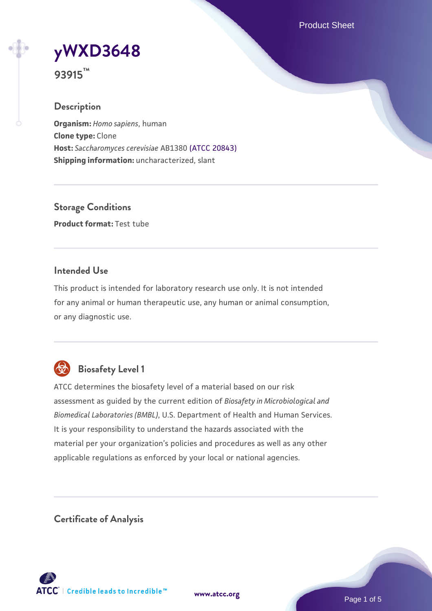Product Sheet

# **[yWXD3648](https://www.atcc.org/products/93915)**

**93915™**

# **Description**

**Organism:** *Homo sapiens*, human **Clone type:** Clone **Host:** *Saccharomyces cerevisiae* AB1380 [\(ATCC 20843\)](https://www.atcc.org/products/20843) **Shipping information:** uncharacterized, slant

**Storage Conditions Product format:** Test tube

# **Intended Use**

This product is intended for laboratory research use only. It is not intended for any animal or human therapeutic use, any human or animal consumption, or any diagnostic use.



# **Biosafety Level 1**

ATCC determines the biosafety level of a material based on our risk assessment as guided by the current edition of *Biosafety in Microbiological and Biomedical Laboratories (BMBL)*, U.S. Department of Health and Human Services. It is your responsibility to understand the hazards associated with the material per your organization's policies and procedures as well as any other applicable regulations as enforced by your local or national agencies.

**Certificate of Analysis**

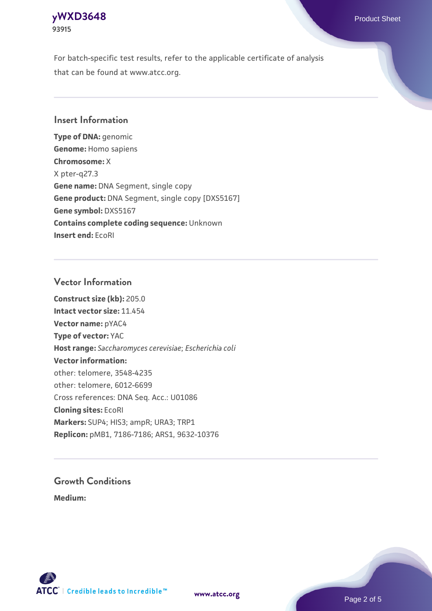

For batch-specific test results, refer to the applicable certificate of analysis that can be found at www.atcc.org.

## **Insert Information**

**Type of DNA:** genomic **Genome:** Homo sapiens **Chromosome:** X X pter-q27.3 **Gene name:** DNA Segment, single copy **Gene product:** DNA Segment, single copy [DXS5167] **Gene symbol:** DXS5167 **Contains complete coding sequence:** Unknown **Insert end:** EcoRI

#### **Vector Information**

**Construct size (kb):** 205.0 **Intact vector size:** 11.454 **Vector name:** pYAC4 **Type of vector:** YAC **Host range:** *Saccharomyces cerevisiae*; *Escherichia coli* **Vector information:** other: telomere, 3548-4235 other: telomere, 6012-6699 Cross references: DNA Seq. Acc.: U01086 **Cloning sites:** EcoRI **Markers:** SUP4; HIS3; ampR; URA3; TRP1 **Replicon:** pMB1, 7186-7186; ARS1, 9632-10376

# **Growth Conditions**

**Medium:** 





Page 2 of 5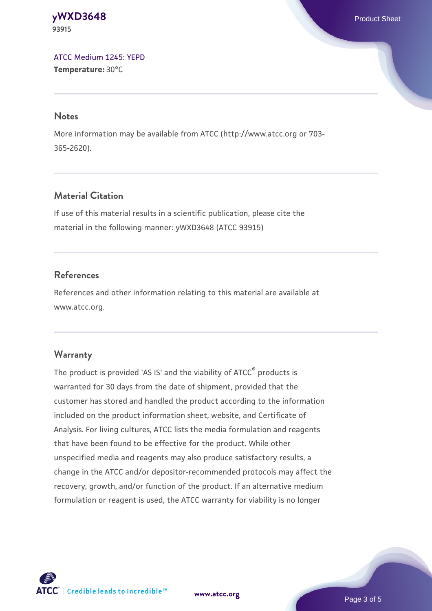#### **[yWXD3648](https://www.atcc.org/products/93915)** Product Sheet **93915**

[ATCC Medium 1245: YEPD](https://www.atcc.org/-/media/product-assets/documents/microbial-media-formulations/1/2/4/5/atcc-medium-1245.pdf?rev=705ca55d1b6f490a808a965d5c072196) **Temperature:** 30°C

#### **Notes**

More information may be available from ATCC (http://www.atcc.org or 703- 365-2620).

# **Material Citation**

If use of this material results in a scientific publication, please cite the material in the following manner: yWXD3648 (ATCC 93915)

# **References**

References and other information relating to this material are available at www.atcc.org.

# **Warranty**

The product is provided 'AS IS' and the viability of ATCC® products is warranted for 30 days from the date of shipment, provided that the customer has stored and handled the product according to the information included on the product information sheet, website, and Certificate of Analysis. For living cultures, ATCC lists the media formulation and reagents that have been found to be effective for the product. While other unspecified media and reagents may also produce satisfactory results, a change in the ATCC and/or depositor-recommended protocols may affect the recovery, growth, and/or function of the product. If an alternative medium formulation or reagent is used, the ATCC warranty for viability is no longer



**[www.atcc.org](http://www.atcc.org)**

Page 3 of 5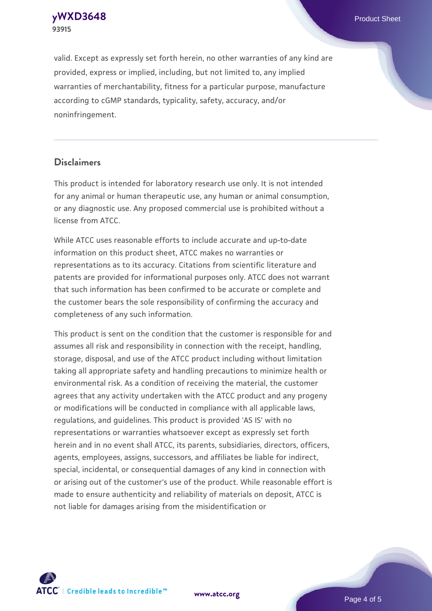**[yWXD3648](https://www.atcc.org/products/93915)** Product Sheet **93915**

valid. Except as expressly set forth herein, no other warranties of any kind are provided, express or implied, including, but not limited to, any implied warranties of merchantability, fitness for a particular purpose, manufacture according to cGMP standards, typicality, safety, accuracy, and/or noninfringement.

#### **Disclaimers**

This product is intended for laboratory research use only. It is not intended for any animal or human therapeutic use, any human or animal consumption, or any diagnostic use. Any proposed commercial use is prohibited without a license from ATCC.

While ATCC uses reasonable efforts to include accurate and up-to-date information on this product sheet, ATCC makes no warranties or representations as to its accuracy. Citations from scientific literature and patents are provided for informational purposes only. ATCC does not warrant that such information has been confirmed to be accurate or complete and the customer bears the sole responsibility of confirming the accuracy and completeness of any such information.

This product is sent on the condition that the customer is responsible for and assumes all risk and responsibility in connection with the receipt, handling, storage, disposal, and use of the ATCC product including without limitation taking all appropriate safety and handling precautions to minimize health or environmental risk. As a condition of receiving the material, the customer agrees that any activity undertaken with the ATCC product and any progeny or modifications will be conducted in compliance with all applicable laws, regulations, and guidelines. This product is provided 'AS IS' with no representations or warranties whatsoever except as expressly set forth herein and in no event shall ATCC, its parents, subsidiaries, directors, officers, agents, employees, assigns, successors, and affiliates be liable for indirect, special, incidental, or consequential damages of any kind in connection with or arising out of the customer's use of the product. While reasonable effort is made to ensure authenticity and reliability of materials on deposit, ATCC is not liable for damages arising from the misidentification or



**[www.atcc.org](http://www.atcc.org)**

Page 4 of 5